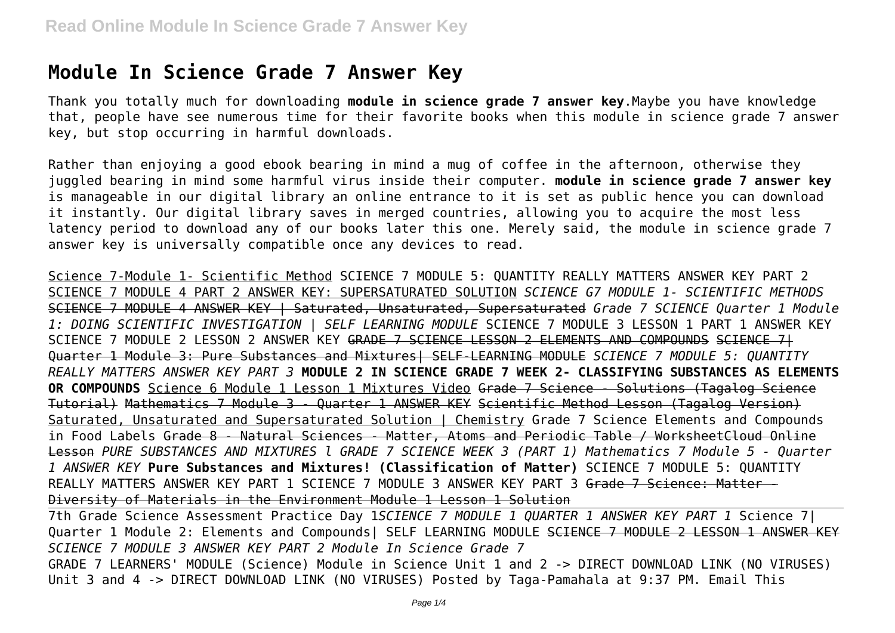# **Module In Science Grade 7 Answer Key**

Thank you totally much for downloading **module in science grade 7 answer key**.Maybe you have knowledge that, people have see numerous time for their favorite books when this module in science grade 7 answer key, but stop occurring in harmful downloads.

Rather than enjoying a good ebook bearing in mind a mug of coffee in the afternoon, otherwise they juggled bearing in mind some harmful virus inside their computer. **module in science grade 7 answer key** is manageable in our digital library an online entrance to it is set as public hence you can download it instantly. Our digital library saves in merged countries, allowing you to acquire the most less latency period to download any of our books later this one. Merely said, the module in science grade 7 answer key is universally compatible once any devices to read.

Science 7-Module 1- Scientific Method SCIENCE 7 MODULE 5: QUANTITY REALLY MATTERS ANSWER KEY PART 2 SCIENCE 7 MODULE 4 PART 2 ANSWER KEY: SUPERSATURATED SOLUTION *SCIENCE G7 MODULE 1- SCIENTIFIC METHODS* SCIENCE 7 MODULE 4 ANSWER KEY | Saturated, Unsaturated, Supersaturated *Grade 7 SCIENCE Quarter 1 Module 1: DOING SCIENTIFIC INVESTIGATION | SELF LEARNING MODULE* SCIENCE 7 MODULE 3 LESSON 1 PART 1 ANSWER KEY SCIENCE 7 MODULE 2 LESSON 2 ANSWER KEY GRADE 7 SCIENCE LESSON 2 ELEMENTS AND COMPOUNDS SCIENCE 7| Quarter 1 Module 3: Pure Substances and Mixtures| SELF-LEARNING MODULE *SCIENCE 7 MODULE 5: QUANTITY REALLY MATTERS ANSWER KEY PART 3* **MODULE 2 IN SCIENCE GRADE 7 WEEK 2- CLASSIFYING SUBSTANCES AS ELEMENTS OR COMPOUNDS** Science 6 Module 1 Lesson 1 Mixtures Video Grade 7 Science - Solutions (Tagalog Science Tutorial) Mathematics 7 Module 3 - Quarter 1 ANSWER KEY Scientific Method Lesson (Tagalog Version) Saturated, Unsaturated and Supersaturated Solution | Chemistry Grade 7 Science Elements and Compounds in Food Labels Grade 8 - Natural Sciences - Matter, Atoms and Periodic Table / WorksheetCloud Online Lesson *PURE SUBSTANCES AND MIXTURES l GRADE 7 SCIENCE WEEK 3 (PART 1) Mathematics 7 Module 5 - Quarter 1 ANSWER KEY* **Pure Substances and Mixtures! (Classification of Matter)** SCIENCE 7 MODULE 5: QUANTITY REALLY MATTERS ANSWER KEY PART 1 SCIENCE 7 MODULE 3 ANSWER KEY PART 3 <del>Grade 7 Science: Matter -</del> Diversity of Materials in the Environment Module 1 Lesson 1 Solution

7th Grade Science Assessment Practice Day 1*SCIENCE 7 MODULE 1 QUARTER 1 ANSWER KEY PART 1* Science 7| Quarter 1 Module 2: Elements and Compounds| SELF LEARNING MODULE SCIENCE 7 MODULE 2 LESSON 1 ANSWER KEY *SCIENCE 7 MODULE 3 ANSWER KEY PART 2 Module In Science Grade 7* GRADE 7 LEARNERS' MODULE (Science) Module in Science Unit 1 and 2 -> DIRECT DOWNLOAD LINK (NO VIRUSES) Unit 3 and 4 -> DIRECT DOWNLOAD LINK (NO VIRUSES) Posted by Taga-Pamahala at 9:37 PM. Email This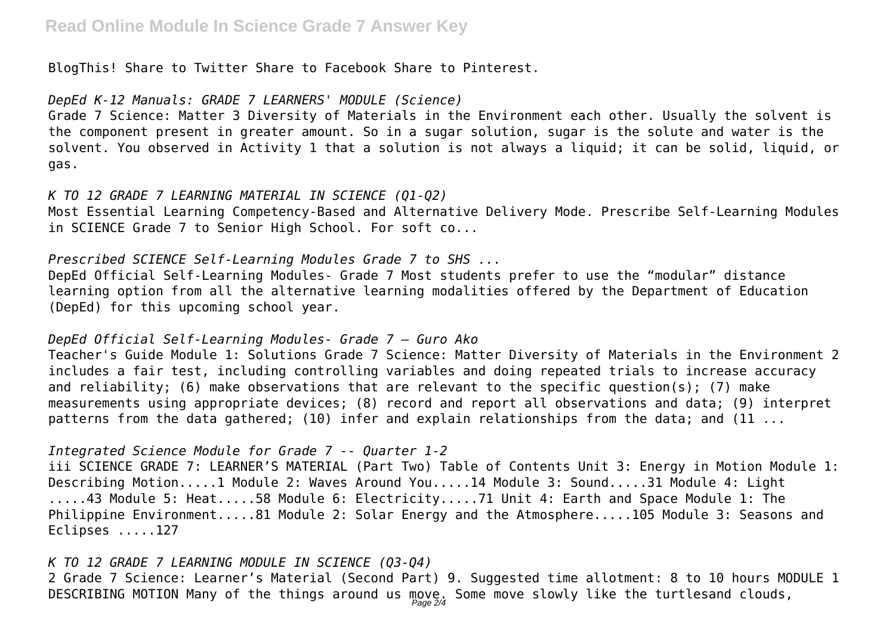BlogThis! Share to Twitter Share to Facebook Share to Pinterest.

#### *DepEd K-12 Manuals: GRADE 7 LEARNERS' MODULE (Science)*

Grade 7 Science: Matter 3 Diversity of Materials in the Environment each other. Usually the solvent is the component present in greater amount. So in a sugar solution, sugar is the solute and water is the solvent. You observed in Activity 1 that a solution is not always a liquid; it can be solid, liquid, or gas.

#### *K TO 12 GRADE 7 LEARNING MATERIAL IN SCIENCE (Q1-Q2)*

Most Essential Learning Competency-Based and Alternative Delivery Mode. Prescribe Self-Learning Modules in SCIENCE Grade 7 to Senior High School. For soft co...

### *Prescribed SCIENCE Self-Learning Modules Grade 7 to SHS ...*

DepEd Official Self-Learning Modules- Grade 7 Most students prefer to use the "modular" distance learning option from all the alternative learning modalities offered by the Department of Education (DepEd) for this upcoming school year.

#### *DepEd Official Self-Learning Modules- Grade 7 – Guro Ako*

Teacher's Guide Module 1: Solutions Grade 7 Science: Matter Diversity of Materials in the Environment 2 includes a fair test, including controlling variables and doing repeated trials to increase accuracy and reliability; (6) make observations that are relevant to the specific question(s); (7) make measurements using appropriate devices; (8) record and report all observations and data; (9) interpret patterns from the data gathered; (10) infer and explain relationships from the data; and (11 ...

## *Integrated Science Module for Grade 7 -- Quarter 1-2*

iii SCIENCE GRADE 7: LEARNER'S MATERIAL (Part Two) Table of Contents Unit 3: Energy in Motion Module 1: Describing Motion.....1 Module 2: Waves Around You.....14 Module 3: Sound.....31 Module 4: Light .....43 Module 5: Heat.....58 Module 6: Electricity.....71 Unit 4: Earth and Space Module 1: The Philippine Environment.....81 Module 2: Solar Energy and the Atmosphere.....105 Module 3: Seasons and Eclipses .....127

## *K TO 12 GRADE 7 LEARNING MODULE IN SCIENCE (Q3-Q4)*

2 Grade 7 Science: Learner's Material (Second Part) 9. Suggested time allotment: 8 to 10 hours MODULE 1 <code>DESCRIBING</code> <code>MOTION</code> <code>Many</code> of the things around us <code>move</code>. Some move slowly like the turtlesand clouds,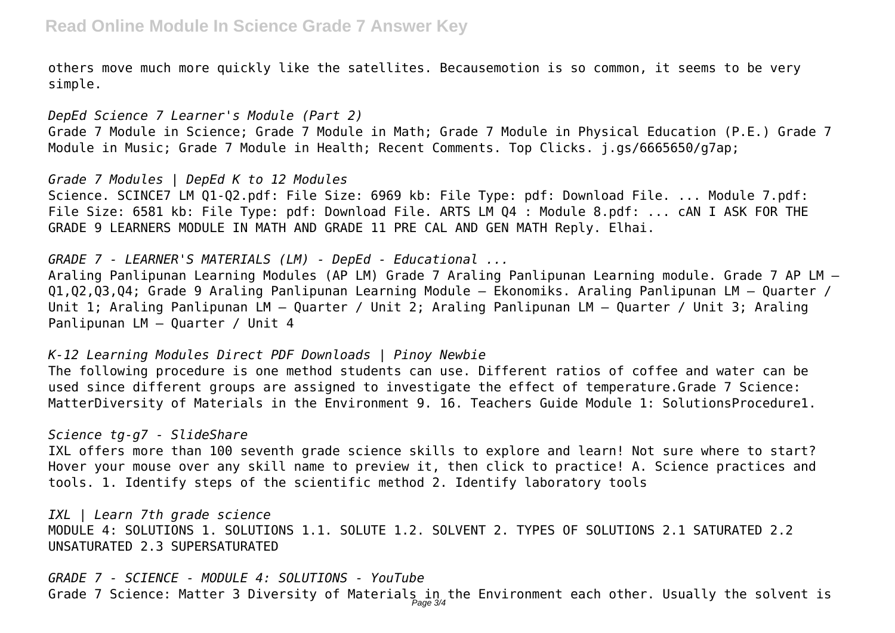others move much more quickly like the satellites. Becausemotion is so common, it seems to be very simple.

*DepEd Science 7 Learner's Module (Part 2)* Grade 7 Module in Science; Grade 7 Module in Math; Grade 7 Module in Physical Education (P.E.) Grade 7 Module in Music; Grade 7 Module in Health; Recent Comments. Top Clicks. j.gs/6665650/g7ap;

*Grade 7 Modules | DepEd K to 12 Modules* Science. SCINCE7 LM Q1-Q2.pdf: File Size: 6969 kb: File Type: pdf: Download File. ... Module 7.pdf: File Size: 6581 kb: File Type: pdf: Download File. ARTS LM Q4 : Module 8.pdf: ... cAN I ASK FOR THE GRADE 9 LEARNERS MODULE IN MATH AND GRADE 11 PRE CAL AND GEN MATH Reply. Elhai.

*GRADE 7 - LEARNER'S MATERIALS (LM) - DepEd - Educational ...* Araling Panlipunan Learning Modules (AP LM) Grade 7 Araling Panlipunan Learning module. Grade 7 AP LM – Q1,Q2,Q3,Q4; Grade 9 Araling Panlipunan Learning Module – Ekonomiks. Araling Panlipunan LM – Quarter / Unit 1; Araling Panlipunan LM – Quarter / Unit 2; Araling Panlipunan LM – Quarter / Unit 3; Araling Panlipunan LM – Quarter / Unit 4

*K-12 Learning Modules Direct PDF Downloads | Pinoy Newbie* The following procedure is one method students can use. Different ratios of coffee and water can be used since different groups are assigned to investigate the effect of temperature.Grade 7 Science: MatterDiversity of Materials in the Environment 9. 16. Teachers Guide Module 1: SolutionsProcedure1.

#### *Science tg-g7 - SlideShare*

IXL offers more than 100 seventh grade science skills to explore and learn! Not sure where to start? Hover your mouse over any skill name to preview it, then click to practice! A. Science practices and tools. 1. Identify steps of the scientific method 2. Identify laboratory tools

*IXL | Learn 7th grade science* MODULE 4: SOLUTIONS 1. SOLUTIONS 1.1. SOLUTE 1.2. SOLVENT 2. TYPES OF SOLUTIONS 2.1 SATURATED 2.2 UNSATURATED 2.3 SUPERSATURATED

*GRADE 7 - SCIENCE - MODULE 4: SOLUTIONS - YouTube* Grade 7 Science: Matter 3 Diversity of Materials in the Environment each other. Usually the solvent is